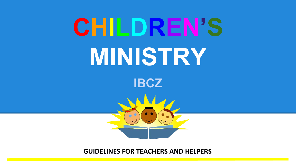

**GUIDELINES FOR TEACHERS AND HELPERS**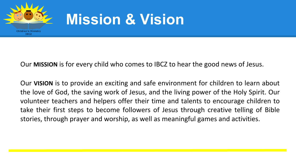

# **Mission & Vision**

Our **MISSION** is for every child who comes to IBCZ to hear the good news of Jesus.

Our **VISION** is to provide an exciting and safe environment for children to learn about the love of God, the saving work of Jesus, and the living power of the Holy Spirit. Our volunteer teachers and helpers offer their time and talents to encourage children to take their first steps to become followers of Jesus through creative telling of Bible stories, through prayer and worship, as well as meaningful games and activities.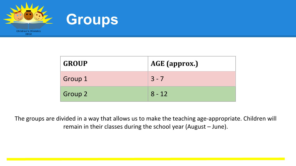

| <b>GROUP</b> | AGE (approx.) |
|--------------|---------------|
| Group 1      | $3 - 7$       |
| Group 2      | $8 - 12$      |

The groups are divided in a way that allows us to make the teaching age-appropriate. Children will remain in their classes during the school year (August – June).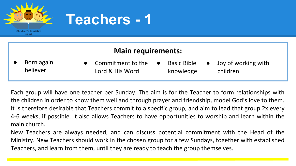

## **Teachers - 1**

### **Main requirements:**

Born again believer

- **Basic Bible** knowledge Commitment to the Lord & His Word
- Joy of working with children

Each group will have one teacher per Sunday. The aim is for the Teacher to form relationships with the children in order to know them well and through prayer and friendship, model God's love to them. It is therefore desirable that Teachers commit to a specific group, and aim to lead that group 2x every 4-6 weeks, if possible. It also allows Teachers to have opportunities to worship and learn within the main church.

New Teachers are always needed, and can discuss potential commitment with the Head of the Ministry. New Teachers should work in the chosen group for a few Sundays, together with established Teachers, and learn from them, until they are ready to teach the group themselves.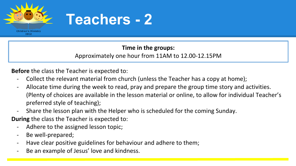

## **Teachers - 2**

### **Time in the groups:**  Approximately one hour from 11AM to 12.00-12.15PM

**Before** the class the Teacher is expected to:

- Collect the relevant material from church (unless the Teacher has a copy at home);
- Allocate time during the week to read, pray and prepare the group time story and activities. (Plenty of choices are available in the lesson material or online, to allow for individual Teacher's preferred style of teaching);
- Share the lesson plan with the Helper who is scheduled for the coming Sunday.

**During** the class the Teacher is expected to:

- Adhere to the assigned lesson topic;
- Be well-prepared;
- Have clear positive guidelines for behaviour and adhere to them;
- Be an example of Jesus' love and kindness.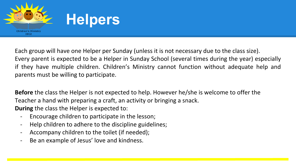

Each group will have one Helper per Sunday (unless it is not necessary due to the class size). Every parent is expected to be a Helper in Sunday School (several times during the year) especially if they have multiple children. Children's Ministry cannot function without adequate help and parents must be willing to participate.

**Before** the class the Helper is not expected to help. However he/she is welcome to offer the Teacher a hand with preparing a craft, an activity or bringing a snack. **During** the class the Helper is expected to:

- Encourage children to participate in the lesson;
- Help children to adhere to the discipline guidelines;
- Accompany children to the toilet (if needed);
- Be an example of Jesus' love and kindness.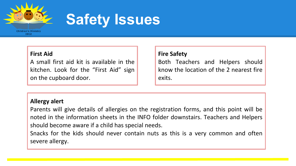

## **Safety Issues**

#### **First Aid**

A small first aid kit is available in the kitchen. Look for the "First Aid" sign on the cupboard door.

#### **Fire Safety**

Both Teachers and Helpers should know the location of the 2 nearest fire exits.

#### **Allergy alert**

Parents will give details of allergies on the registration forms, and this point will be noted in the information sheets in the INFO folder downstairs. Teachers and Helpers should become aware if a child has special needs.

Snacks for the kids should never contain nuts as this is a very common and often severe allergy.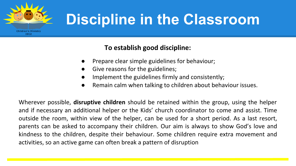

# **Discipline in the Classroom**

### **To establish good discipline:**

- Prepare clear simple guidelines for behaviour;
- Give reasons for the guidelines;
- Implement the guidelines firmly and consistently;
- Remain calm when talking to children about behaviour issues.

Wherever possible, **disruptive children** should be retained within the group, using the helper and if necessary an additional helper or the Kids' church coordinator to come and assist. Time outside the room, within view of the helper, can be used for a short period. As a last resort, parents can be asked to accompany their children. Our aim is always to show God's love and kindness to the children, despite their behaviour. Some children require extra movement and activities, so an active game can often break a pattern of disruption